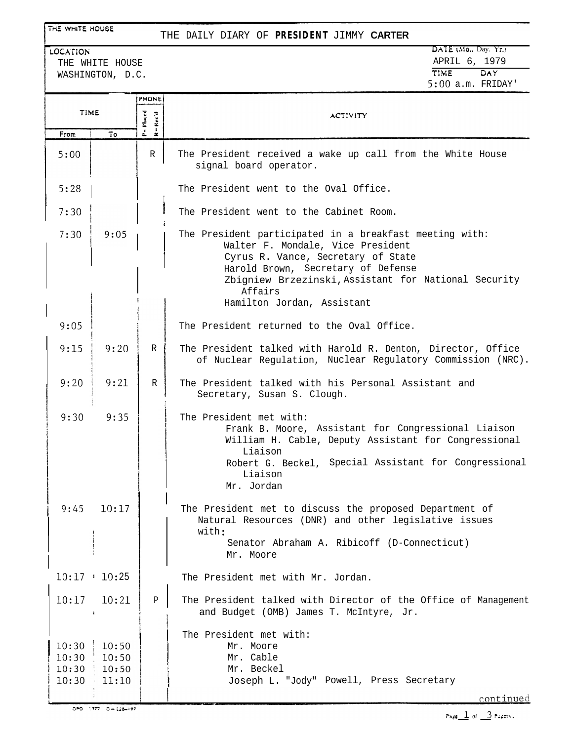## THE WHITE HOUSE

### THE DAILY DIARY OF **PRESIDENT** JIMMY **CARTER**

| LOCATION         | $\overline{DATE}$ (Mo., Day, Yr.) |     |
|------------------|-----------------------------------|-----|
| THE WHITE HOUSE  | APRIL 6, 1979                     |     |
| WASHINGTON, D.C. | <b>TIME</b>                       | DAY |
|                  | $5:00$ a.m. FRIDAY'               |     |

|                                  |                                  | <b>PHONE</b>                                                                 |                                                                                                                                                                                                                                                                           |
|----------------------------------|----------------------------------|------------------------------------------------------------------------------|---------------------------------------------------------------------------------------------------------------------------------------------------------------------------------------------------------------------------------------------------------------------------|
| <b>TIME</b>                      |                                  | P = Placed<br>$\mathbf{R} = \mathbf{R}\,\mathbf{c}\,\mathbf{c}'\,\mathbf{d}$ | ACTIVITY                                                                                                                                                                                                                                                                  |
| From                             | To                               |                                                                              |                                                                                                                                                                                                                                                                           |
| 5:00                             |                                  | R                                                                            | The President received a wake up call from the White House<br>signal board operator.                                                                                                                                                                                      |
| 5:28                             |                                  |                                                                              | The President went to the Oval Office.                                                                                                                                                                                                                                    |
| 7:30                             |                                  |                                                                              | The President went to the Cabinet Room.                                                                                                                                                                                                                                   |
| 7:30                             | 9:05                             |                                                                              | The President participated in a breakfast meeting with:<br>Walter F. Mondale, Vice President<br>Cyrus R. Vance, Secretary of State<br>Harold Brown, Secretary of Defense<br>Zbigniew Brzezinski, Assistant for National Security<br>Affairs<br>Hamilton Jordan, Assistant |
| 9:05                             |                                  |                                                                              | The President returned to the Oval Office.                                                                                                                                                                                                                                |
| 9:15                             | 9:20                             | R                                                                            | The President talked with Harold R. Denton, Director, Office<br>of Nuclear Regulation, Nuclear Regulatory Commission (NRC).                                                                                                                                               |
| 9:20                             | 9:21                             | R                                                                            | The President talked with his Personal Assistant and<br>Secretary, Susan S. Clough.                                                                                                                                                                                       |
| 9:30                             | 9:35                             |                                                                              | The President met with:<br>Frank B. Moore, Assistant for Congressional Liaison<br>William H. Cable, Deputy Assistant for Congressional<br>Liaison<br>Robert G. Beckel, Special Assistant for Congressional<br>Liaison<br>Mr. Jordan                                       |
| 9:45                             | 10:17                            |                                                                              | The President met to discuss the proposed Department of<br>Natural Resources (DNR) and other legislative issues<br>with:<br>Senator Abraham A. Ribicoff (D-Connecticut)<br>Mr. Moore                                                                                      |
|                                  | $10:17$ 10:25                    |                                                                              | The President met with Mr. Jordan.                                                                                                                                                                                                                                        |
| 10:17                            | 10:21                            | $\mathbf{P}$                                                                 | The President talked with Director of the Office of Management<br>and Budget (OMB) James T. McIntyre, Jr.                                                                                                                                                                 |
| 10:30<br>10:30<br>10:30<br>10:30 | 10:50<br>10:50<br>10:50<br>11:10 |                                                                              | The President met with:<br>Mr. Moore<br>Mr. Cable<br>Mr. Beckel<br>Joseph L. "Jody" Powell, Press Secretary                                                                                                                                                               |
|                                  | 090 1977 0-128-197               |                                                                              | continued                                                                                                                                                                                                                                                                 |

Page  $\pm$  of  $\pm$ 3 Pagers).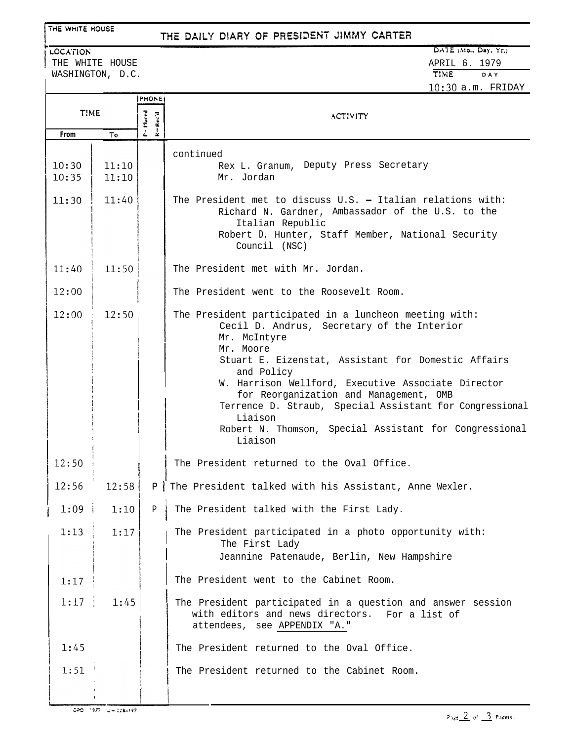# THE WHITE HOUSE

# THE DAILY DIARY OF PRESIDENT JIMMY CARTER

LOCATION THE WHITE HOUSE WASHINGTON, D.C.

# DATE (Mo., Day, Yr.) **APRIL 6. 1979**<br>TIME DAY **TIME DAY 1030** a.m. FRIDAY

|                |                | <b>PHONE:</b>                    |                                                                                                                                                                                                                                                                                                                                                                                                                                                   |
|----------------|----------------|----------------------------------|---------------------------------------------------------------------------------------------------------------------------------------------------------------------------------------------------------------------------------------------------------------------------------------------------------------------------------------------------------------------------------------------------------------------------------------------------|
| T!ME           |                | =Placed<br>$+{\rm Acc}^*{\bf i}$ | ACTIVITY                                                                                                                                                                                                                                                                                                                                                                                                                                          |
| From           | То             | ÷.                               |                                                                                                                                                                                                                                                                                                                                                                                                                                                   |
| 10:30<br>10:35 | 11:10<br>11:10 |                                  | continued<br>Rex L. Granum, Deputy Press Secretary<br>Mr. Jordan                                                                                                                                                                                                                                                                                                                                                                                  |
| 11:30          | 11:40          |                                  | The President met to discuss U.S. - Italian relations with:<br>Richard N. Gardner, Ambassador of the U.S. to the<br>Italian Republic<br>Robert D. Hunter, Staff Member, National Security<br>Council (NSC)                                                                                                                                                                                                                                        |
| 11:40          | 11:50          |                                  | The President met with Mr. Jordan.                                                                                                                                                                                                                                                                                                                                                                                                                |
| 12:00          |                |                                  | The President went to the Roosevelt Room.                                                                                                                                                                                                                                                                                                                                                                                                         |
| 12:00          | 12:50          |                                  | The President participated in a luncheon meeting with:<br>Cecil D. Andrus, Secretary of the Interior<br>Mr. McIntyre<br>Mr. Moore<br>Stuart E. Eizenstat, Assistant for Domestic Affairs<br>and Policy<br>W. Harrison Wellford, Executive Associate Director<br>for Reorganization and Management, OMB<br>Terrence D. Straub, Special Assistant for Congressional<br>Liaison<br>Robert N. Thomson, Special Assistant for Congressional<br>Liaison |
| 12:50          |                |                                  | The President returned to the Oval Office.                                                                                                                                                                                                                                                                                                                                                                                                        |
| 12:56          | 12:58          |                                  | P The President talked with his Assistant, Anne Wexler.                                                                                                                                                                                                                                                                                                                                                                                           |
| 1:09           | 1:10           | P                                | The President talked with the First Lady.                                                                                                                                                                                                                                                                                                                                                                                                         |
| 1:13           | 1:17           |                                  | The President participated in a photo opportunity with:<br>The First Lady<br>Jeannine Patenaude, Berlin, New Hampshire                                                                                                                                                                                                                                                                                                                            |
| 1:17           |                |                                  | The President went to the Cabinet Room.                                                                                                                                                                                                                                                                                                                                                                                                           |
| 1:17           | 1:45           |                                  | The President participated in a question and answer session<br>with editors and news directors. For a list of<br>attendees, see APPENDIX "A."                                                                                                                                                                                                                                                                                                     |
| 1:45           |                |                                  | The President returned to the Oval Office.                                                                                                                                                                                                                                                                                                                                                                                                        |
| 1:51           |                |                                  | The President returned to the Cabinet Room.                                                                                                                                                                                                                                                                                                                                                                                                       |